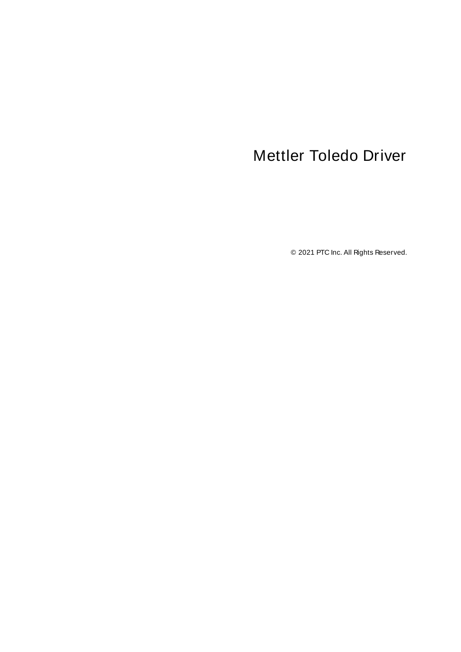# <span id="page-0-0"></span>Mettler Toledo Driver

© 2021 PTC Inc. All Rights Reserved.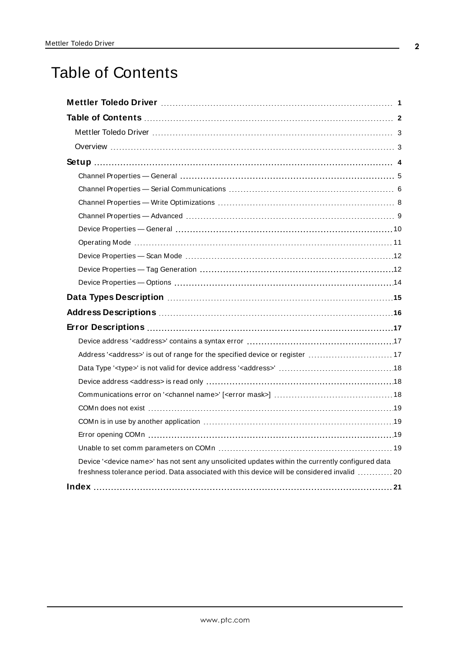# <span id="page-1-0"></span>Table of Contents

| Address' <address>' is out of range for the specified device or register  17</address>                                                                                                                        |
|---------------------------------------------------------------------------------------------------------------------------------------------------------------------------------------------------------------|
|                                                                                                                                                                                                               |
|                                                                                                                                                                                                               |
|                                                                                                                                                                                                               |
|                                                                                                                                                                                                               |
|                                                                                                                                                                                                               |
|                                                                                                                                                                                                               |
|                                                                                                                                                                                                               |
| Device ' <device name="">' has not sent any unsolicited updates within the currently configured data<br/>freshness tolerance period. Data associated with this device will be considered invalid  20</device> |
|                                                                                                                                                                                                               |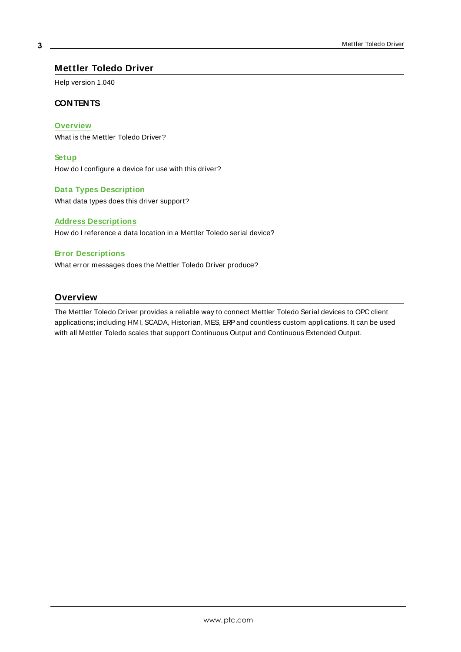#### <span id="page-2-0"></span>**Mettler Toledo Driver**

Help version 1.040

#### **CONTENTS**

**[Overview](#page-2-1)**

What is the Mettler Toledo Driver?

**[Setup](#page-3-0)**

How do I configure a device for use with this driver?

#### **Data Types [Description](#page-14-0)**

What data types does this driver support?

#### **Address [Descriptions](#page-15-0)**

How do I reference a data location in a Mettler Toledo serial device?

#### **Error [Descriptions](#page-16-0)**

What error messages does the Mettler Toledo Driver produce?

#### <span id="page-2-1"></span>**Overview**

The Mettler Toledo Driver provides a reliable way to connect Mettler Toledo Serial devices to OPC client applications; including HMI, SCADA, Historian, MES, ERPand countless custom applications. It can be used with all Mettler Toledo scales that support Continuous Output and Continuous Extended Output.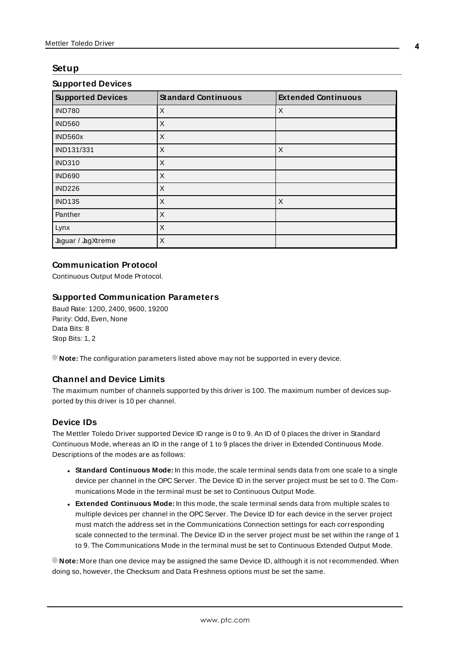### <span id="page-3-0"></span>**Setup**

| <b>Supported Devices</b> | <b>Standard Continuous</b> | <b>Extended Continuous</b> |
|--------------------------|----------------------------|----------------------------|
| <b>IND780</b>            | X                          | X                          |
| <b>IND560</b>            | X                          |                            |
| IND560x                  | X                          |                            |
| IND131/331               | X                          | $\times$                   |
| <b>IND310</b>            | X                          |                            |
| <b>IND690</b>            | X                          |                            |
| <b>IND226</b>            | X                          |                            |
| <b>IND135</b>            | X                          | X                          |
| Panther                  | X                          |                            |
| Lynx                     | X                          |                            |
| Jaguar / JagXtreme       | X                          |                            |

#### **Supported Devices**

#### **Communication Protocol**

Continuous Output Mode Protocol.

#### **Supported Communication Parameters**

Baud Rate: 1200, 2400, 9600, 19200 Parity: Odd, Even, None Data Bits: 8 Stop Bits: 1, 2

**Note:** The configuration parameters listed above may not be supported in every device.

### **Channel and Device Limits**

The maximum number of channels supported by this driver is 100. The maximum number of devices supported by this driver is 10 per channel.

#### **Device IDs**

The Mettler Toledo Driver supported Device ID range is 0 to 9. An ID of 0 places the driver in Standard Continuous Mode, whereas an ID in the range of 1 to 9 places the driver in Extended Continuous Mode. Descriptions of the modes are as follows:

- **Standard Continuous Mode:** In this mode, the scale terminal sends data from one scale to a single device per channel in the OPC Server. The Device ID in the server project must be set to 0. The Communications Mode in the terminal must be set to Continuous Output Mode.
- <sup>l</sup> **Extended Continuous Mode:** In this mode, the scale terminal sends data from multiple scales to multiple devices per channel in the OPC Server. The Device ID for each device in the server project must match the address set in the Communications Connection settings for each corresponding scale connected to the terminal. The Device ID in the server project must be set within the range of 1 to 9. The Communications Mode in the terminal must be set to Continuous Extended Output Mode.

**Note:** More than one device may be assigned the same Device ID, although it is not recommended. When doing so, however, the Checksum and Data Freshness options must be set the same.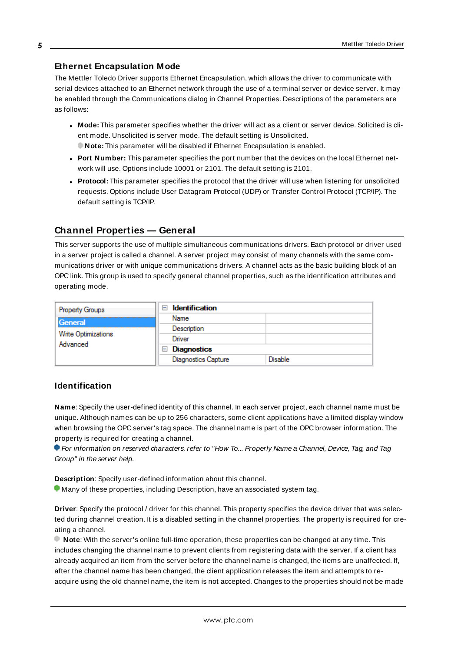#### **Ethernet Encapsulation Mode**

The Mettler Toledo Driver supports Ethernet Encapsulation, which allows the driver to communicate with serial devices attached to an Ethernet network through the use of a terminal server or device server. It may be enabled through the Communications dialog in Channel Properties. Descriptions of the parameters are as follows:

- <sup>l</sup> **Mode:** This parameter specifies whether the driver will act as a client or server device. Solicited is client mode. Unsolicited is server mode. The default setting is Unsolicited.
- **Note:** This parameter will be disabled if Ethernet Encapsulation is enabled.
- <sup>l</sup> **Port Number:** This parameter specifies the port number that the devices on the local Ethernet network will use. Options include 10001 or 2101. The default setting is 2101.
- **Protocol:** This parameter specifies the protocol that the driver will use when listening for unsolicited requests. Options include User Datagram Protocol (UDP) or Transfer Control Protocol (TCP/IP). The default setting is TCP/IP.

# <span id="page-4-0"></span>**Channel Properties — General**

This server supports the use of multiple simultaneous communications drivers. Each protocol or driver used in a server project is called a channel. A server project may consist of many channels with the same communications driver or with unique communications drivers. A channel acts as the basic building block of an OPC link. This group is used to specify general channel properties, such as the identification attributes and operating mode.

| <b>Property Groups</b>          | <b>Identification</b><br>$\overline{}$ |                |
|---------------------------------|----------------------------------------|----------------|
| <b>General</b>                  | Name                                   |                |
|                                 | Description                            |                |
| Write Optimizations<br>Advanced | Driver                                 |                |
|                                 | Diagnostics<br>$\blacksquare$          |                |
|                                 | Diagnostics Capture                    | <b>Disable</b> |

### **Identification**

**Name**: Specify the user-defined identity of this channel. In each server project, each channel name must be unique. Although names can be up to 256 characters, some client applications have a limited display window when browsing the OPC server's tag space. The channel name is part of the OPC browser information. The property is required for creating a channel.

For information on reserved characters, refer to "How To... Properly Name a Channel, Device, Tag, and Tag Group" in the server help.

**Description**: Specify user-defined information about this channel.

Many of these properties, including Description, have an associated system tag.

**Driver**: Specify the protocol / driver for this channel. This property specifies the device driver that was selected during channel creation. It is a disabled setting in the channel properties. The property is required for creating a channel.

**Note**: With the server's online full-time operation, these properties can be changed at any time. This includes changing the channel name to prevent clients from registering data with the server. If a client has already acquired an item from the server before the channel name is changed, the items are unaffected. If, after the channel name has been changed, the client application releases the item and attempts to reacquire using the old channel name, the item is not accepted. Changes to the properties should not be made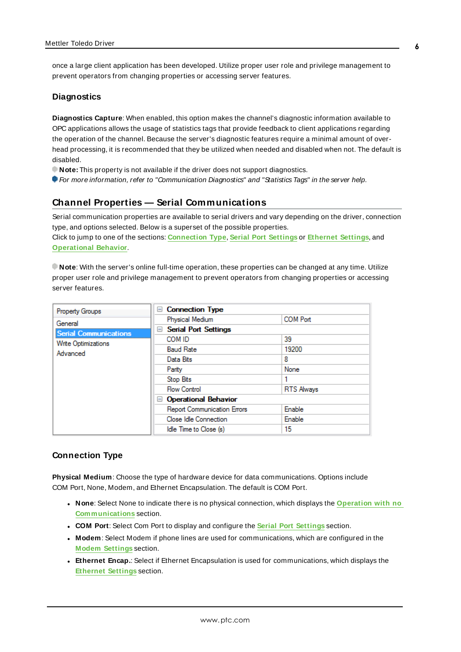once a large client application has been developed. Utilize proper user role and privilege management to prevent operators from changing properties or accessing server features.

#### **Diagnostics**

**Diagnostics Capture**: When enabled, this option makes the channel's diagnostic information available to OPC applications allows the usage of statistics tags that provide feedback to client applications regarding the operation of the channel. Because the server's diagnostic features require a minimal amount of overhead processing, it is recommended that they be utilized when needed and disabled when not. The default is disabled.

- **Note:** This property is not available if the driver does not support diagnostics.
- <span id="page-5-0"></span>**For more information, refer to "Communication Diagnostics" and "Statistics Tags" in the server help.**

# **Channel Properties — Serial Communications**

Serial communication properties are available to serial drivers and vary depending on the driver, connection type, and options selected. Below is a superset of the possible properties.

Click to jump to one of the sections: **[Connection](#page-5-1) Type**, **Serial Port [Settings](#page-6-0)** or **[Ethernet](#page-7-1) Settings**, and **[Operational](#page-6-1) Behavior**.

**Note**: With the server's online full-time operation, these properties can be changed at any time. Utilize proper user role and privilege management to prevent operators from changing properties or accessing server features.

| <b>Property Groups</b>       | □ Connection Type                  |                   |
|------------------------------|------------------------------------|-------------------|
| General                      | Physical Medium                    | <b>COM Port</b>   |
| <b>Serial Communications</b> | <b>Serial Port Settings</b><br>$=$ |                   |
| Write Optimizations          | COM ID                             | 39                |
| Advanced                     | <b>Baud Rate</b>                   | 19200             |
|                              | Data Bits                          | 8                 |
|                              | Parity                             | None              |
|                              | Stop Bits                          |                   |
|                              | <b>Flow Control</b>                | <b>RTS Always</b> |
|                              | □ Operational Behavior             |                   |
|                              | <b>Report Communication Errors</b> | Enable            |
|                              | Close Idle Connection              | Enable            |
|                              | Idle Time to Close (s)             | 15                |

#### <span id="page-5-1"></span>**Connection Type**

**Physical Medium**: Choose the type of hardware device for data communications. Options include COM Port, None, Modem, and Ethernet Encapsulation. The default is COM Port.

- <sup>l</sup> **None**: Select None to indicate there is no physical connection, which displays the **[Operation](#page-7-2) with no [Communications](#page-7-2)** section.
- <sup>l</sup> **COM Port**: Select Com Port to display and configure the **Serial Port [Settings](#page-6-0)** section.
- **Modem**: Select Modem if phone lines are used for communications, which are configured in the **Modem [Settings](#page-7-3)** section.
- **Ethernet Encap.**: Select if Ethernet Encapsulation is used for communications, which displays the **[Ethernet](#page-7-1) Settings** section.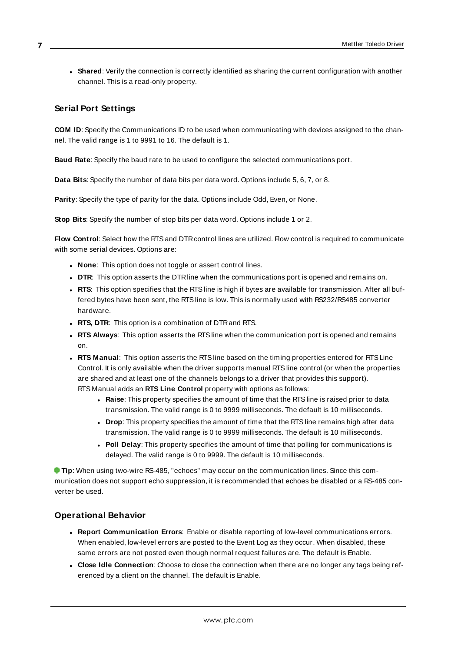**Shared**: Verify the connection is correctly identified as sharing the current configuration with another channel. This is a read-only property.

### <span id="page-6-0"></span>**Serial Port Settings**

**COM ID**: Specify the Communications ID to be used when communicating with devices assigned to the channel. The valid range is 1 to 9991 to 16. The default is 1.

**Baud Rate**: Specify the baud rate to be used to configure the selected communications port.

**Data Bits**: Specify the number of data bits per data word. Options include 5, 6, 7, or 8.

**Parity**: Specify the type of parity for the data. Options include Odd, Even, or None.

**Stop Bits**: Specify the number of stop bits per data word. Options include 1 or 2.

**Flow Control:** Select how the RTS and DTR control lines are utilized. Flow control is required to communicate with some serial devices. Options are:

- **None:** This option does not toggle or assert control lines.
- **DTR:** This option asserts the DTR line when the communications port is opened and remains on.
- **RTS:** This option specifies that the RTS line is high if bytes are available for transmission. After all buffered bytes have been sent, the RTSline is low. This is normally used with RS232/RS485 converter hardware.
- **RTS, DTR:** This option is a combination of DTR and RTS.
- <sup>l</sup> **RTS Always**: This option asserts the RTSline when the communication port is opened and remains on.
- <sup>l</sup> **RTS Manual**: This option asserts the RTSline based on the timing properties entered for RTSLine Control. It is only available when the driver supports manual RTSline control (or when the properties are shared and at least one of the channels belongs to a driver that provides this support). RTS Manual adds an **RTS Line Control** property with options as follows:
	- **Raise**: This property specifies the amount of time that the RTS line is raised prior to data transmission. The valid range is 0 to 9999 milliseconds. The default is 10 milliseconds.
	- **Drop**: This property specifies the amount of time that the RTS line remains high after data transmission. The valid range is 0 to 9999 milliseconds. The default is 10 milliseconds.
	- **Poll Delay**: This property specifies the amount of time that polling for communications is delayed. The valid range is 0 to 9999. The default is 10 milliseconds.

**Tip**: When using two-wire RS-485, "echoes" may occur on the communication lines. Since this communication does not support echo suppression, it is recommended that echoes be disabled or a RS-485 converter be used.

### <span id="page-6-1"></span>**Operational Behavior**

- <sup>l</sup> **Report Communication Errors**: Enable or disable reporting of low-level communications errors. When enabled, low-level errors are posted to the Event Log as they occur. When disabled, these same errors are not posted even though normal request failures are. The default is Enable.
- <sup>l</sup> **Close Idle Connection**: Choose to close the connection when there are no longer any tags being referenced by a client on the channel. The default is Enable.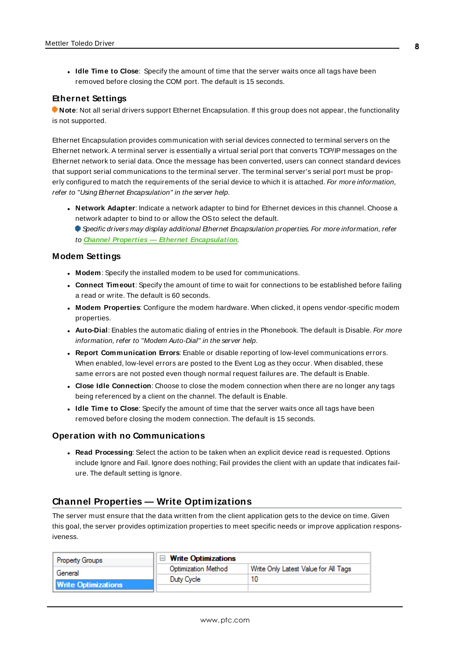<sup>l</sup> **Idle Time to Close**: Specify the amount of time that the server waits once all tags have been removed before closing the COM port. The default is 15 seconds.

#### <span id="page-7-1"></span>**Ethernet Settings**

**Note**: Not all serial drivers support Ethernet Encapsulation. If this group does not appear, the functionality is not supported.

Ethernet Encapsulation provides communication with serial devices connected to terminal servers on the Ethernet network. A terminal server is essentially a virtual serial port that converts TCP/IP messages on the Ethernet network to serial data. Once the message has been converted, users can connect standard devices that support serial communications to the terminal server. The terminal server's serial port must be properly configured to match the requirements of the serial device to which it is attached. For more information, refer to "Using Ethernet Encapsulation" in the server help.

- **Network Adapter**: Indicate a network adapter to bind for Ethernet devices in this channel. Choose a network adapter to bind to or allow the OSto select the default.
	- Specific drivers may display additional Ethernet Encapsulation properties. For more information, refer to **Channel Properties — Ethernet Encapsulation**.

#### <span id="page-7-3"></span>**Modem Settings**

- **Modem**: Specify the installed modem to be used for communications.
- **Connect Timeout**: Specify the amount of time to wait for connections to be established before failing a read or write. The default is 60 seconds.
- <sup>l</sup> **Modem Properties**: Configure the modem hardware. When clicked, it opens vendor-specific modem properties.
- **.** Auto-Dial: Enables the automatic dialing of entries in the Phonebook. The default is Disable. For more information, refer to "Modem Auto-Dial" in the server help.
- <sup>l</sup> **Report Communication Errors**: Enable or disable reporting of low-level communications errors. When enabled, low-level errors are posted to the Event Log as they occur. When disabled, these same errors are not posted even though normal request failures are. The default is Enable.
- **Close Idle Connection**: Choose to close the modem connection when there are no longer any tags being referenced by a client on the channel. The default is Enable.
- **.** Idle Time to Close: Specify the amount of time that the server waits once all tags have been removed before closing the modem connection. The default is 15 seconds.

#### <span id="page-7-2"></span>**Operation with no Communications**

**Read Processing**: Select the action to be taken when an explicit device read is requested. Options include Ignore and Fail. Ignore does nothing; Fail provides the client with an update that indicates failure. The default setting is Ignore.

### <span id="page-7-0"></span>**Channel Properties — Write Optimizations**

The server must ensure that the data written from the client application gets to the device on time. Given this goal, the server provides optimization properties to meet specific needs or improve application responsiveness.

| <b>Property Groups</b>     | □ Write Optimizations |                                      |
|----------------------------|-----------------------|--------------------------------------|
| General                    | Optimization Method   | Write Only Latest Value for All Tags |
|                            | Duty Cycle            |                                      |
| <b>Write Optimizations</b> |                       |                                      |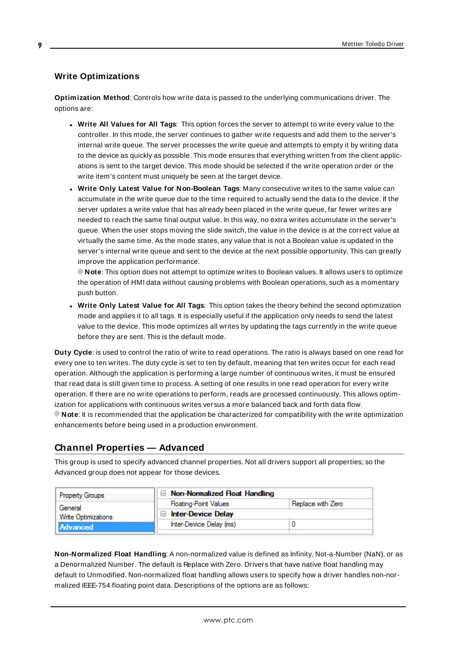# **Write Optimizations**

**Optimization Method**: Controls how write data is passed to the underlying communications driver. The options are:

- **.** Write All Values for All Tags: This option forces the server to attempt to write every value to the controller. In this mode, the server continues to gather write requests and add them to the server's internal write queue. The server processes the write queue and attempts to empty it by writing data to the device as quickly as possible. This mode ensures that everything written from the client applications is sent to the target device. This mode should be selected if the write operation order or the write item's content must uniquely be seen at the target device.
- <sup>l</sup> **Write Only Latest Value for Non-Boolean Tags**: Many consecutive writes to the same value can accumulate in the write queue due to the time required to actually send the data to the device. If the server updates a write value that has already been placed in the write queue, far fewer writes are needed to reach the same final output value. In this way, no extra writes accumulate in the server's queue. When the user stops moving the slide switch, the value in the device is at the correct value at virtually the same time. As the mode states, any value that is not a Boolean value is updated in the server's internal write queue and sent to the device at the next possible opportunity. This can greatly improve the application performance.

**Note**: This option does not attempt to optimize writes to Boolean values. It allows users to optimize the operation of HMI data without causing problems with Boolean operations, such as a momentary push button.

**• Write Only Latest Value for All Tags**: This option takes the theory behind the second optimization mode and applies it to all tags. It is especially useful if the application only needs to send the latest value to the device. This mode optimizes all writes by updating the tags currently in the write queue before they are sent. This is the default mode.

**Duty Cycle**: is used to control the ratio of write to read operations. The ratio is always based on one read for every one to ten writes. The duty cycle is set to ten by default, meaning that ten writes occur for each read operation. Although the application is performing a large number of continuous writes, it must be ensured that read data is still given time to process. A setting of one results in one read operation for every write operation. If there are no write operations to perform, reads are processed continuously. This allows optimization for applications with continuous writes versus a more balanced back and forth data flow. **Note**: It is recommended that the application be characterized for compatibility with the write optimization enhancements before being used in a production environment.

# <span id="page-8-0"></span>**Channel Properties — Advanced**

This group is used to specify advanced channel properties. Not all drivers support all properties; so the Advanced group does not appear for those devices.

| Property Groups            | $\Box$ Non-Normalized Float Handling |                   |
|----------------------------|--------------------------------------|-------------------|
| General                    | <b>Floating-Point Values</b>         | Replace with Zero |
| <b>Write Optimizations</b> | <b>Inter-Device Delay</b>            |                   |
| Advanced                   | Inter-Device Delay (ms)              |                   |
|                            |                                      |                   |

**Non-Normalized Float Handling**: A non-normalized value is defined as Infinity, Not-a-Number (NaN), or as a Denormalized Number. The default is Replace with Zero. Drivers that have native float handling may default to Unmodified. Non-normalized float handling allows users to specify how a driver handles non-normalized IEEE-754 floating point data. Descriptions of the options are as follows: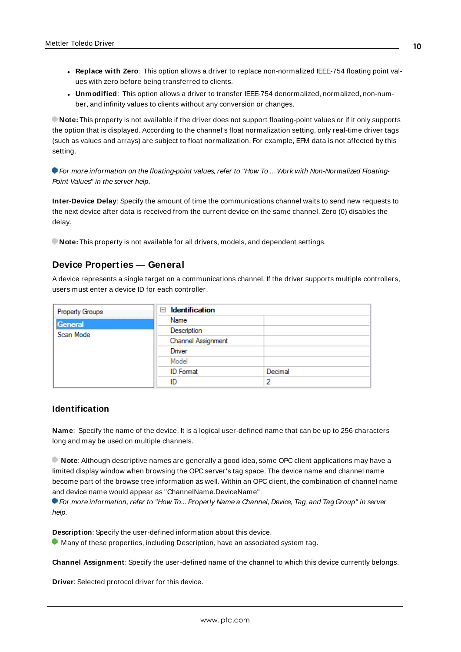- <sup>l</sup> **Replace with Zero**: This option allows a driver to replace non-normalized IEEE-754 floating point values with zero before being transferred to clients.
- <sup>l</sup> **Unmodified**: This option allows a driver to transfer IEEE-754 denormalized, normalized, non-number, and infinity values to clients without any conversion or changes.

**Note:** This property is not available if the driver does not support floating-point values or if it only supports the option that is displayed. According to the channel's float normalization setting, only real-time driver tags (such as values and arrays) are subject to float normalization. For example, EFM data is not affected by this setting.

For more information on the floating-point values, refer to "How To ... Work with Non-Normalized Floating-Point Values" in the server help.

**Inter-Device Delay**: Specify the amount of time the communications channel waits to send new requests to the next device after data is received from the current device on the same channel. Zero (0) disables the delay.

<span id="page-9-0"></span>**Note:** This property is not available for all drivers, models, and dependent settings.

#### **Device Properties — General**

A device represents a single target on a communications channel. If the driver supports multiple controllers, users must enter a device ID for each controller.

| Property Groups | <b>Identification</b><br>$=$ |         |
|-----------------|------------------------------|---------|
| General         | Name                         |         |
| Scan Mode       | Description                  |         |
|                 | Channel Assignment           |         |
|                 | Driver                       |         |
|                 | Model                        |         |
|                 | <b>ID</b> Format             | Decimal |
|                 | ID                           | 2       |

#### <span id="page-9-3"></span>**Identification**

**Name**: Specify the name of the device. It is a logical user-defined name that can be up to 256 characters long and may be used on multiple channels.

**Note**: Although descriptive names are generally a good idea, some OPC client applications may have a limited display window when browsing the OPC server's tag space. The device name and channel name become part of the browse tree information as well. Within an OPC client, the combination of channel name and device name would appear as "ChannelName.DeviceName".

For more information, refer to "How To... Properly Name a Channel, Device, Tag, and Tag Group" in server help.

**Description**: Specify the user-defined information about this device.

<span id="page-9-1"></span>**Many of these properties, including Description, have an associated system tag.** 

<span id="page-9-2"></span>**Channel Assignment**: Specify the user-defined name of the channel to which this device currently belongs.

**Driver**: Selected protocol driver for this device.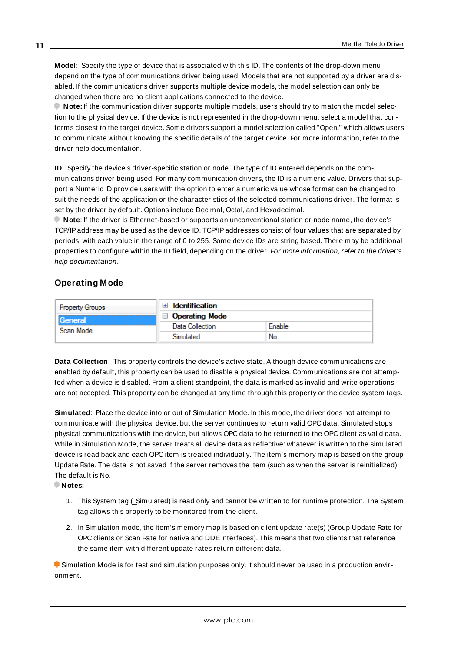<span id="page-10-3"></span>**Model**: Specify the type of device that is associated with this ID. The contents of the drop-down menu depend on the type of communications driver being used. Models that are not supported by a driver are disabled. If the communications driver supports multiple device models, the model selection can only be changed when there are no client applications connected to the device.

**Note:** If the communication driver supports multiple models, users should try to match the model selection to the physical device. If the device is not represented in the drop-down menu, select a model that conforms closest to the target device. Some drivers support a model selection called "Open," which allows users to communicate without knowing the specific details of the target device. For more information, refer to the driver help documentation.

<span id="page-10-2"></span>**ID**: Specify the device's driver-specific station or node. The type of ID entered depends on the communications driver being used. For many communication drivers, the ID is a numeric value. Drivers that support a Numeric ID provide users with the option to enter a numeric value whose format can be changed to suit the needs of the application or the characteristics of the selected communications driver. The format is set by the driver by default. Options include Decimal, Octal, and Hexadecimal.

**Note**: If the driver is Ethernet-based or supports an unconventional station or node name, the device's TCP/IPaddress may be used as the device ID. TCP/IPaddresses consist of four values that are separated by periods, with each value in the range of 0 to 255. Some device IDs are string based. There may be additional properties to configure within the ID field, depending on the driver. For more information, refer to the driver's help documentation.

#### <span id="page-10-0"></span>**Operating Mode**

| <b>Property Groups</b> | <b>Identification</b> |        |
|------------------------|-----------------------|--------|
| General                | $\Box$ Operating Mode |        |
| Scan Mode              | Data Collection       | Enable |
|                        | Simulated             | No     |

<span id="page-10-1"></span>**Data Collection**: This property controls the device's active state. Although device communications are enabled by default, this property can be used to disable a physical device. Communications are not attempted when a device is disabled. From a client standpoint, the data is marked as invalid and write operations are not accepted. This property can be changed at any time through this property or the device system tags.

<span id="page-10-4"></span>**Simulated**: Place the device into or out of Simulation Mode. In this mode, the driver does not attempt to communicate with the physical device, but the server continues to return valid OPC data. Simulated stops physical communications with the device, but allows OPC data to be returned to the OPC client as valid data. While in Simulation Mode, the server treats all device data as reflective: whatever is written to the simulated device is read back and each OPC item is treated individually. The item's memory map is based on the group Update Rate. The data is not saved if the server removes the item (such as when the server is reinitialized). The default is No.

**Notes:**

- 1. This System tag (\_Simulated) is read only and cannot be written to for runtime protection. The System tag allows this property to be monitored from the client.
- 2. In Simulation mode, the item's memory map is based on client update rate(s) (Group Update Rate for OPC clients or Scan Rate for native and DDEinterfaces). This means that two clients that reference the same item with different update rates return different data.

 Simulation Mode is for test and simulation purposes only. It should never be used in a production environment.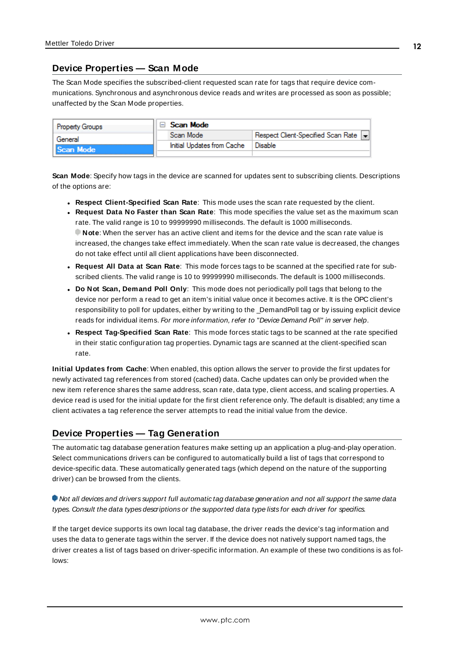# <span id="page-11-0"></span>**Device Properties — Scan Mode**

The Scan Mode specifies the subscribed-client requested scan rate for tags that require device communications. Synchronous and asynchronous device reads and writes are processed as soon as possible; unaffected by the Scan Mode properties.

| <b>Property Groups</b> | Scan Mode                  |                                    |
|------------------------|----------------------------|------------------------------------|
| General                | Scan Mode                  | Respect Client-Specified Scan Rate |
| Scan Mode              | Initial Updates from Cache | Disable                            |
|                        |                            |                                    |

<span id="page-11-5"></span>**Scan Mode**: Specify how tags in the device are scanned for updates sent to subscribing clients. Descriptions of the options are:

- <sup>l</sup> **Respect Client-Specified Scan Rate**: This mode uses the scan rate requested by the client.
- <sup>l</sup> **Request Data No Faster than Scan Rate**: This mode specifies the value set as the maximum scan rate. The valid range is 10 to 99999990 milliseconds. The default is 1000 milliseconds. **Note**: When the server has an active client and items for the device and the scan rate value is increased, the changes take effect immediately. When the scan rate value is decreased, the changes do not take effect until all client applications have been disconnected.
- <sup>l</sup> **Request All Data at Scan Rate**: This mode forces tags to be scanned at the specified rate for subscribed clients. The valid range is 10 to 99999990 milliseconds. The default is 1000 milliseconds.
- <span id="page-11-2"></span><sup>l</sup> **Do Not Scan, Demand Poll Only**: This mode does not periodically poll tags that belong to the device nor perform a read to get an item's initial value once it becomes active. It is the OPC client's responsibility to poll for updates, either by writing to the \_DemandPoll tag or by issuing explicit device reads for individual items. For more information, refer to "Device Demand Poll" in server help.
- <span id="page-11-4"></span><sup>l</sup> **Respect Tag-Specified Scan Rate**: This mode forces static tags to be scanned at the rate specified in their static configuration tag properties. Dynamic tags are scanned at the client-specified scan rate.

<span id="page-11-3"></span>**Initial Updates from Cache**: When enabled, this option allows the server to provide the first updates for newly activated tag references from stored (cached) data. Cache updates can only be provided when the new item reference shares the same address, scan rate, data type, client access, and scaling properties. A device read is used for the initial update for the first client reference only. The default is disabled; any time a client activates a tag reference the server attempts to read the initial value from the device.

# <span id="page-11-1"></span>**Device Properties — Tag Generation**

The automatic tag database generation features make setting up an application a plug-and-play operation. Select communications drivers can be configured to automatically build a list of tags that correspond to device-specific data. These automatically generated tags (which depend on the nature of the supporting driver) can be browsed from the clients.

#### Not all devices and drivers support full automatic tag database generation and not all support the same data types. Consult the data types descriptions or the supported data type lists for each driver for specifics.

If the target device supports its own local tag database, the driver reads the device's tag information and uses the data to generate tags within the server. If the device does not natively support named tags, the driver creates a list of tags based on driver-specific information. An example of these two conditions is as follows: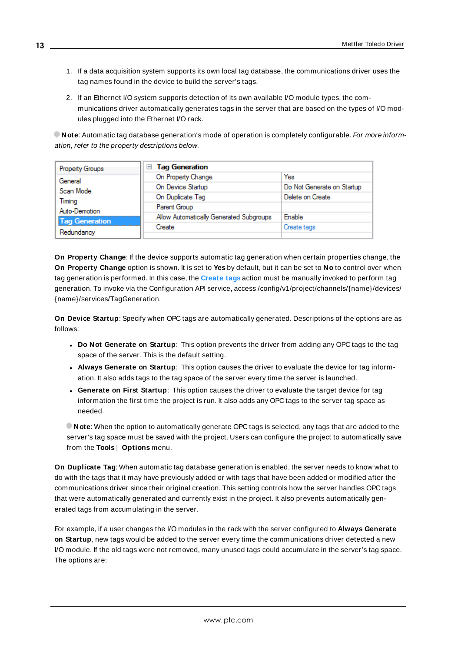- 1. If a data acquisition system supports its own local tag database, the communications driver uses the tag names found in the device to build the server's tags.
- 2. If an Ethernet I/O system supports detection of its own available I/O module types, the communications driver automatically generates tags in the server that are based on the types of I/O modules plugged into the Ethernet I/O rack.

**Note**: Automatic tag database generation's mode of operation is completely configurable. For more information, refer to the property descriptions below.

| Property Groups       | <b>Tag Generation</b><br>н              |                            |
|-----------------------|-----------------------------------------|----------------------------|
| General               | On Property Change                      | Yes                        |
| Scan Mode             | On Device Startup                       | Do Not Generate on Startup |
| Timina                | On Duplicate Tag                        | Delete on Create           |
| Auto-Demotion         | Parent Group                            |                            |
| <b>Tag Generation</b> | Allow Automatically Generated Subgroups | Enable                     |
|                       | Create                                  | Create tags                |
| Redundancy            |                                         |                            |

<span id="page-12-3"></span>**On Property Change**: If the device supports automatic tag generation when certain properties change, the **On Property Change** option is shown. It is set to **Yes** by default, but it can be set to **No** to control over when tag generation is performed. In this case, the **Create tags** action must be manually invoked to perform tag generation. To invoke via the Configuration API service, access /config/v1/project/channels/{name}/devices/ {name}/services/TagGeneration.

<span id="page-12-1"></span>**On Device Startup**: Specify when OPC tags are automatically generated. Descriptions of the options are as follows:

- <span id="page-12-0"></span><sup>l</sup> **Do Not Generate on Startup**: This option prevents the driver from adding any OPC tags to the tag space of the server. This is the default setting.
- <sup>l</sup> **Always Generate on Startup**: This option causes the driver to evaluate the device for tag information. It also adds tags to the tag space of the server every time the server is launched.
- <sup>l</sup> **Generate on First Startup**: This option causes the driver to evaluate the target device for tag information the first time the project is run. It also adds any OPC tags to the server tag space as needed.

**Note**: When the option to automatically generate OPC tags is selected, any tags that are added to the server's tag space must be saved with the project. Users can configure the project to automatically save from the **Tools** | **Options** menu.

<span id="page-12-2"></span>**On Duplicate Tag**: When automatic tag database generation is enabled, the server needs to know what to do with the tags that it may have previously added or with tags that have been added or modified after the communications driver since their original creation. This setting controls how the server handles OPC tags that were automatically generated and currently exist in the project. It also prevents automatically generated tags from accumulating in the server.

For example, if a user changes the I/O modules in the rack with the server configured to **Always Generate on Startup**, new tags would be added to the server every time the communications driver detected a new I/O module. If the old tags were not removed, many unused tags could accumulate in the server's tag space. The options are: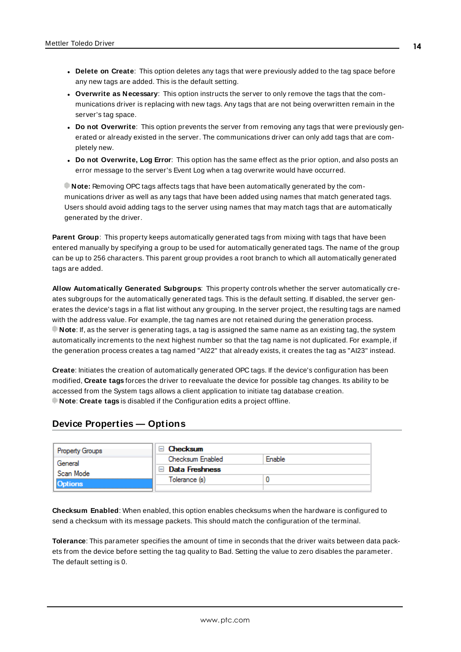- <span id="page-13-3"></span>**• Delete on Create**: This option deletes any tags that were previously added to the tag space before any new tags are added. This is the default setting.
- <span id="page-13-4"></span><sup>l</sup> **Overwrite as Necessary**: This option instructs the server to only remove the tags that the communications driver is replacing with new tags. Any tags that are not being overwritten remain in the server's tag space.
- **Do** not Overwrite: This option prevents the server from removing any tags that were previously generated or already existed in the server. The communications driver can only add tags that are completely new.
- <sup>l</sup> **Do not Overwrite, Log Error**: This option has the same effect as the prior option, and also posts an error message to the server's Event Log when a tag overwrite would have occurred.

**Note:** Removing OPC tags affects tags that have been automatically generated by the communications driver as well as any tags that have been added using names that match generated tags. Users should avoid adding tags to the server using names that may match tags that are automatically generated by the driver.

<span id="page-13-5"></span>**Parent Group**: This property keeps automatically generated tags from mixing with tags that have been entered manually by specifying a group to be used for automatically generated tags. The name of the group can be up to 256 characters. This parent group provides a root branch to which all automatically generated tags are added.

<span id="page-13-1"></span>**Allow Automatically Generated Subgroups**: This property controls whether the server automatically creates subgroups for the automatically generated tags. This is the default setting. If disabled, the server generates the device's tags in a flat list without any grouping. In the server project, the resulting tags are named with the address value. For example, the tag names are not retained during the generation process. **Note**: If, as the server is generating tags, a tag is assigned the same name as an existing tag, the system automatically increments to the next highest number so that the tag name is not duplicated. For example, if the generation process creates a tag named "AI22" that already exists, it creates the tag as "AI23" instead.

<span id="page-13-2"></span>**Create**: Initiates the creation of automatically generated OPC tags. If the device's configuration has been modified, **Create tags** forces the driver to reevaluate the device for possible tag changes. Its ability to be accessed from the System tags allows a client application to initiate tag database creation. **Note**: **Create tags** is disabled if the Configuration edits a project offline.

### <span id="page-13-0"></span>**Device Properties — Options**

| <b>Property Groups</b> | Checksum         |        |
|------------------------|------------------|--------|
| General                | Checksum Enabled | Enable |
| Scan Mode              | Data Freshness   |        |
| <b>Options</b>         | Tolerance (s)    |        |
|                        |                  |        |

**Checksum Enabled**: When enabled, this option enables checksums when the hardware is configured to send a checksum with its message packets. This should match the configuration of the terminal.

**Tolerance**: This parameter specifies the amount of time in seconds that the driver waits between data packets from the device before setting the tag quality to Bad. Setting the value to zero disables the parameter. The default setting is 0.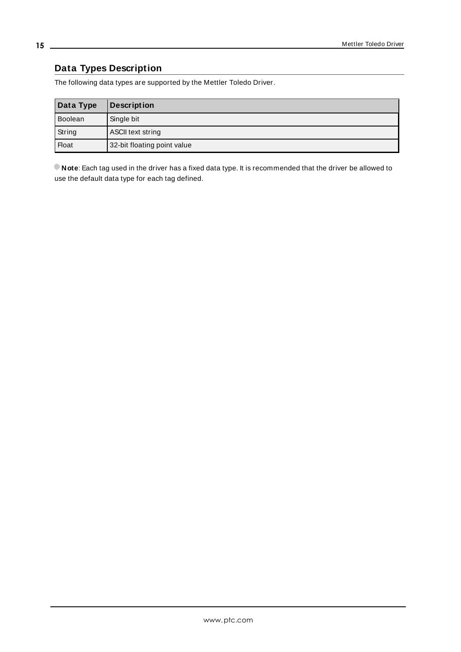# <span id="page-14-0"></span>**Data Types Description**

The following data types are supported by the Mettler Toledo Driver.

| Data Type    | <b>Description</b>          |
|--------------|-----------------------------|
| Boolean      | Single bit                  |
| String       | ASCII text string           |
| <b>Float</b> | 32-bit floating point value |

**Note**: Each tag used in the driver has a fixed data type. It is recommended that the driver be allowed to use the default data type for each tag defined.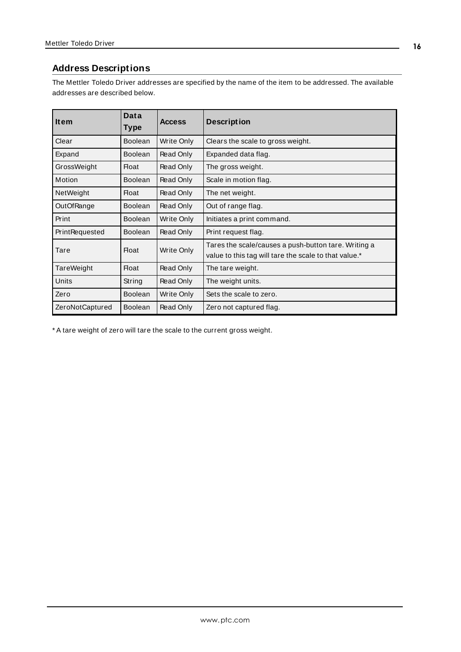# <span id="page-15-0"></span>**Address Descriptions**

The Mettler Toledo Driver addresses are specified by the name of the item to be addressed. The available addresses are described below.

| <b>Item</b>           | Data<br>Type   | <b>Access</b> | <b>Description</b>                                                                                            |
|-----------------------|----------------|---------------|---------------------------------------------------------------------------------------------------------------|
| Clear                 | <b>Boolean</b> | Write Only    | Clears the scale to gross weight.                                                                             |
| Expand                | <b>Boolean</b> | Read Only     | Expanded data flag.                                                                                           |
| GrossWeight           | Float          | Read Only     | The gross weight.                                                                                             |
| Motion                | <b>Boolean</b> | Read Only     | Scale in motion flag.                                                                                         |
| <b>NetWeight</b>      | <b>Float</b>   | Read Only     | The net weight.                                                                                               |
| OutOfRange            | <b>Boolean</b> | Read Only     | Out of range flag.                                                                                            |
| Print                 | <b>Boolean</b> | Write Only    | Initiates a print command.                                                                                    |
| <b>PrintRequested</b> | <b>Boolean</b> | Read Only     | Print request flag.                                                                                           |
| Tare                  | <b>Float</b>   | Write Only    | Tares the scale/causes a push-button tare. Writing a<br>value to this tag will tare the scale to that value.* |
| TareWeight            | <b>Float</b>   | Read Only     | The tare weight.                                                                                              |
| <b>Units</b>          | String         | Read Only     | The weight units.                                                                                             |
| Zero                  | <b>Boolean</b> | Write Only    | Sets the scale to zero.                                                                                       |
| ZeroNotCaptured       | <b>Boolean</b> | Read Only     | Zero not captured flag.                                                                                       |

\* A tare weight of zero will tare the scale to the current gross weight.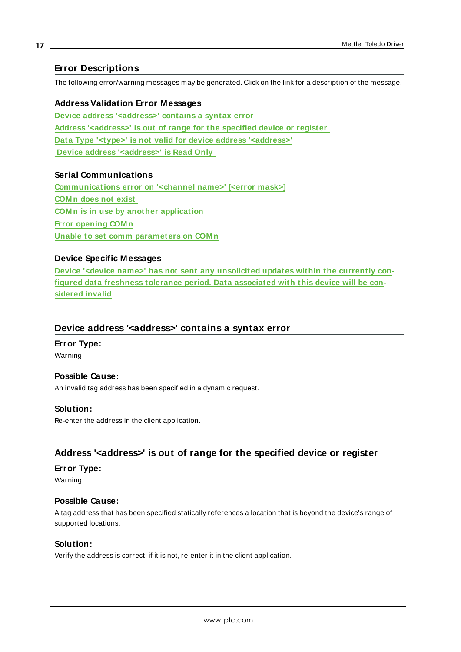# <span id="page-16-0"></span>**Error Descriptions**

The following error/warning messages may be generated. Click on the link for a description of the message.

**Address Validation Error Messages Device address ['<address>'](#page-16-1) contains a syntax error Address ['<address>'](#page-16-2) is out of range for the specified device or register Data Type '<type>' is not valid for device address ['<address>'](#page-17-0) Device address ['<address>'](#page-17-1) is Read Only**

### **Serial Communications**

**[Communications](#page-17-2) error on '<channel name>' [<error mask>] [COM n](#page-18-0) does not exist COM n is in use by another [application](#page-18-1) Error [opening](#page-18-2) COM n Unable to set comm [parameters](#page-18-3) on COM n**

### **Device Specific Messages**

**Device '<device name>' has not sent any [unsolicited](#page-19-0) updates within the currently configured data freshness tolerance period. Data [associated](#page-19-0) with this device will be con[sidered](#page-19-0) invalid**

### <span id="page-16-1"></span>**Device address '<address>' contains a syntax error**

#### **Error Type:** Warning

#### **Possible Cause:**

An invalid tag address has been specified in a dynamic request.

#### **Solution:**

Re-enter the address in the client application.

### <span id="page-16-2"></span>**Address '<address>' is out of range for the specified device or register**

#### **Error Type:**

Warning

#### **Possible Cause:**

A tag address that has been specified statically references a location that is beyond the device's range of supported locations.

#### **Solution:**

Verify the address is correct; if it is not, re-enter it in the client application.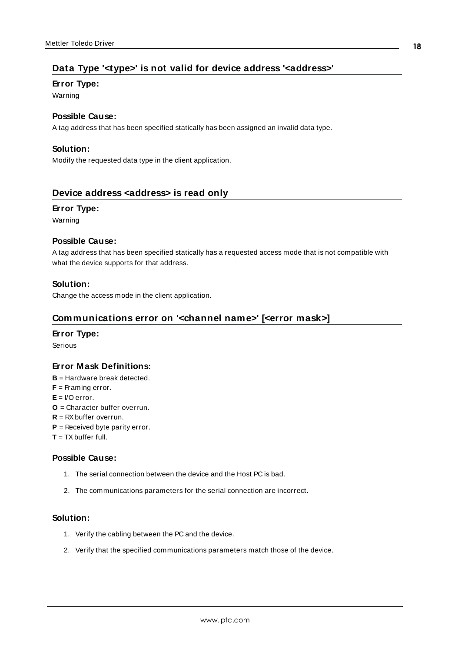# <span id="page-17-0"></span>**Data Type '<type>' is not valid for device address '<address>'**

#### **Error Type:**

Warning

## **Possible Cause:**

A tag address that has been specified statically has been assigned an invalid data type.

### **Solution:**

Modify the requested data type in the client application.

### <span id="page-17-1"></span>**Device address <address> is read only**

#### **Error Type:**

Warning

#### **Possible Cause:**

A tag address that has been specified statically has a requested access mode that is not compatible with what the device supports for that address.

#### **Solution:**

<span id="page-17-2"></span>Change the access mode in the client application.

### **Communications error on '<channel name>' [<error mask>]**

#### **Error Type:**

Serious

#### **Error Mask Definitions:**

- **B** = Hardware break detected.
- **F** = Framing error.
- $E = I/O$  error.
- **O** = Character buffer overrun.
- **R** = RXbuffer overrun.
- **P** = Received byte parity error.
- **T** = TXbuffer full.

#### **Possible Cause:**

- 1. The serial connection between the device and the Host PC is bad.
- 2. The communications parameters for the serial connection are incorrect.

#### **Solution:**

- 1. Verify the cabling between the PC and the device.
- 2. Verify that the specified communications parameters match those of the device.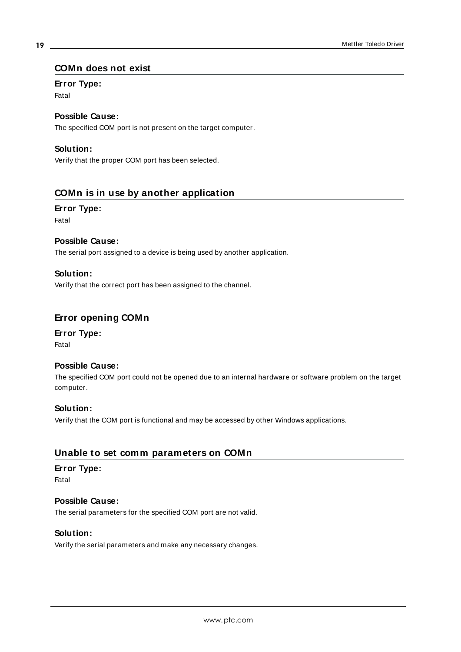#### <span id="page-18-0"></span>**COMn does not exist**

#### **Error Type:**

Fatal

# **Possible Cause:**

The specified COM port is not present on the target computer.

### **Solution:**

Verify that the proper COM port has been selected.

### <span id="page-18-1"></span>**COMn is in use by another application**

#### **Error Type:**

Fatal

#### **Possible Cause:**

The serial port assigned to a device is being used by another application.

#### **Solution:**

Verify that the correct port has been assigned to the channel.

#### <span id="page-18-2"></span>**Error opening COMn**

# **Error Type:**

Fatal

#### **Possible Cause:**

The specified COM port could not be opened due to an internal hardware or software problem on the target computer.

#### **Solution:**

Verify that the COM port is functional and may be accessed by other Windows applications.

#### <span id="page-18-3"></span>**Unable to set comm parameters on COMn**

#### **Error Type:**

Fatal

#### **Possible Cause:**

The serial parameters for the specified COM port are not valid.

#### **Solution:**

Verify the serial parameters and make any necessary changes.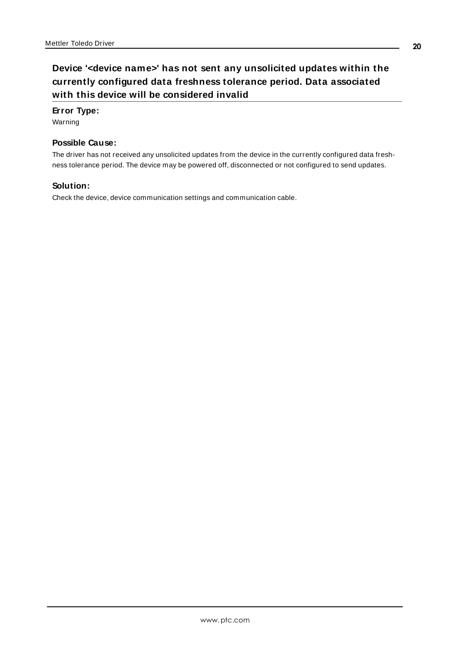# <span id="page-19-0"></span>**Device '<device name>' has not sent any unsolicited updates within the currently configured data freshness tolerance period. Data associated with this device will be considered invalid**

### **Error Type:**

Warning

# **Possible Cause:**

The driver has not received any unsolicited updates from the device in the currently configured data freshness tolerance period. The device may be powered off, disconnected or not configured to send updates.

### **Solution:**

Check the device, device communication settings and communication cable.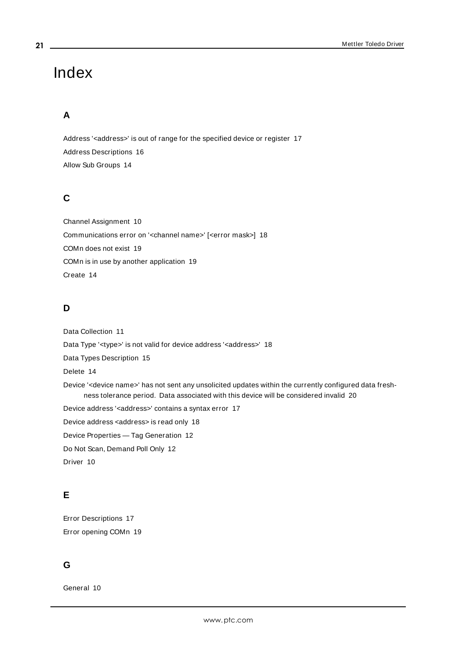# <span id="page-20-0"></span>Index

# **A**

Address '<address>' is out of range for the specified device or register [17](#page-16-2) Address Descriptions [16](#page-15-0) Allow Sub Groups [14](#page-13-1)

# **C**

Channel Assignment [10](#page-9-1) Communications error on '<channel name>' [<error mask>] [18](#page-17-2) COMn does not exist [19](#page-18-0) COMn is in use by another application [19](#page-18-1) Create [14](#page-13-2)

# **D**

Data Collection [11](#page-10-1) Data Type '<type>' is not valid for device address '<address>' [18](#page-17-0) Data Types Description [15](#page-14-0) Delete [14](#page-13-3) Device '<device name>' has not sent any unsolicited updates within the currently configured data freshness tolerance period. Data associated with this device will be considered invalid [20](#page-19-0) Device address '< address>' contains a syntax error [17](#page-16-1) Device address <address> is read only [18](#page-17-1) Device Properties — Tag Generation [12](#page-11-1) Do Not Scan, Demand Poll Only [12](#page-11-2) Driver [10](#page-9-2)

# **E**

Error Descriptions [17](#page-16-0) Error opening COMn [19](#page-18-2)

# **G**

General [10](#page-9-0)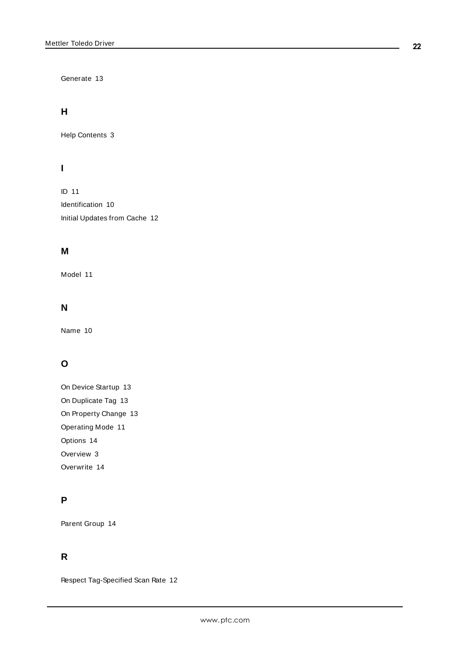Generate [13](#page-12-0)

# **H**

Help Contents [3](#page-2-0)

# **I**

ID [11](#page-10-2) Identification [10](#page-9-0) Initial Updates from Cache [12](#page-11-3)

# **M**

Model [11](#page-10-3)

# **N**

Name [10](#page-9-3)

# **O**

On Device Startup [13](#page-12-1) On Duplicate Tag [13](#page-12-2) On Property Change [13](#page-12-3) Operating Mode [11](#page-10-0) Options [14](#page-13-0) Overview [3](#page-2-1) Overwrite [14](#page-13-4)

# **P**

Parent Group [14](#page-13-5)

# **R**

Respect Tag-Specified Scan Rate [12](#page-11-4)